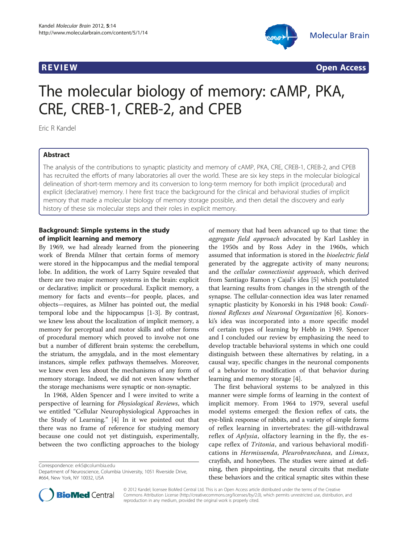

**REVIEW CONSTRUCTION CONSTRUCTION CONSTRUCTS** 

# The molecular biology of memory: cAMP, PKA, CRE, CREB-1, CREB-2, and CPEB

Eric R Kandel

# Abstract

The analysis of the contributions to synaptic plasticity and memory of cAMP, PKA, CRE, CREB-1, CREB-2, and CPEB has recruited the efforts of many laboratories all over the world. These are six key steps in the molecular biological delineation of short-term memory and its conversion to long-term memory for both implicit (procedural) and explicit (declarative) memory. I here first trace the background for the clinical and behavioral studies of implicit memory that made a molecular biology of memory storage possible, and then detail the discovery and early history of these six molecular steps and their roles in explicit memory.

# Background: Simple systems in the study of implicit learning and memory

By 1969, we had already learned from the pioneering work of Brenda Milner that certain forms of memory were stored in the hippocampus and the medial temporal lobe. In addition, the work of Larry Squire revealed that there are two major memory systems in the brain: explicit or declarative; implicit or procedural. Explicit memory, a memory for facts and events—for people, places, and objects—requires, as Milner has pointed out, the medial temporal lobe and the hippocampus [[1-3\]](#page-8-0). By contrast, we knew less about the localization of implicit memory, a memory for perceptual and motor skills and other forms of procedural memory which proved to involve not one but a number of different brain systems: the cerebellum, the striatum, the amygdala, and in the most elementary instances, simple reflex pathways themselves. Moreover, we knew even less about the mechanisms of any form of memory storage. Indeed, we did not even know whether the storage mechanisms were synaptic or non-synaptic.

In 1968, Alden Spencer and I were invited to write a perspective of learning for Physiological Reviews, which we entitled "Cellular Neurophysiological Approaches in the Study of Learning." [[4\]](#page-8-0) In it we pointed out that there was no frame of reference for studying memory because one could not yet distinguish, experimentally, between the two conflicting approaches to the biology

Correspondence: [erk5@columbia.edu](mailto:erk5@columbia.edu)

Department of Neuroscience, Columbia University, 1051 Riverside Drive, #664, New York, NY 10032, USA

of memory that had been advanced up to that time: the aggregate field approach advocated by Karl Lashley in the 1950s and by Ross Adey in the 1960s, which assumed that information is stored in the bioelectric field generated by the aggregate activity of many neurons; and the cellular connectionist approach, which derived from Santiago Ramon y Cajal's idea [\[5](#page-8-0)] which postulated that learning results from changes in the strength of the synapse. The cellular-connection idea was later renamed synaptic plasticity by Konorski in his 1948 book: Conditioned Reflexes and Neuronal Organization [\[6](#page-8-0)]. Konorski's idea was incorporated into a more specific model of certain types of learning by Hebb in 1949. Spencer and I concluded our review by emphasizing the need to develop tractable behavioral systems in which one could distinguish between these alternatives by relating, in a causal way, specific changes in the neuronal components of a behavior to modification of that behavior during learning and memory storage [\[4\]](#page-8-0).

The first behavioral systems to be analyzed in this manner were simple forms of learning in the context of implicit memory. From 1964 to 1979, several useful model systems emerged: the flexion reflex of cats, the eye-blink response of rabbits, and a variety of simple forms of reflex learning in invertebrates: the gill-withdrawal reflex of Aplysia, olfactory learning in the fly, the escape reflex of Tritonia, and various behavioral modifications in Hermissenda, Pleurobranchaea, and Limax, crayfish, and honeybees. The studies were aimed at defining, then pinpointing, the neural circuits that mediate these behaviors and the critical synaptic sites within these



© 2012 Kandel; licensee BioMed Central Ltd. This is an Open Access article distributed under the terms of the Creative Commons Attribution License [\(http://creativecommons.org/licenses/by/2.0\)](http://creativecommons.org/licenses/by/2.0), which permits unrestricted use, distribution, and reproduction in any medium, provided the original work is properly cited.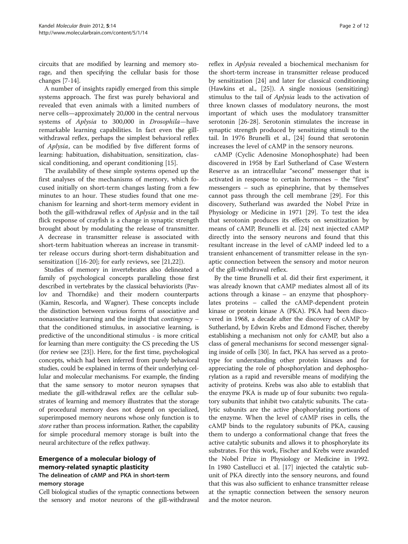circuits that are modified by learning and memory storage, and then specifying the cellular basis for those changes [\[7](#page-8-0)-[14](#page-8-0)].

A number of insights rapidly emerged from this simple systems approach. The first was purely behavioral and revealed that even animals with a limited numbers of nerve cells—approximately 20,000 in the central nervous systems of Aplysia to 300,000 in Drosophila—have remarkable learning capabilities. In fact even the gillwithdrawal reflex, perhaps the simplest behavioral reflex of Aplysia, can be modified by five different forms of learning: habituation, dishabituation, sensitization, classical conditioning, and operant conditioning [\[15](#page-8-0)].

The availability of these simple systems opened up the first analyses of the mechanisms of memory, which focused initially on short-term changes lasting from a few minutes to an hour. These studies found that one mechanism for learning and short-term memory evident in both the gill-withdrawal reflex of Aplysia and in the tail flick response of crayfish is a change in synaptic strength brought about by modulating the release of transmitter. A decrease in transmitter release is associated with short-term habituation whereas an increase in transmitter release occurs during short-term dishabituation and sensitization ([[16-](#page-8-0)[20\]](#page-9-0); for early reviews, see [\[21,22](#page-9-0)]).

Studies of memory in invertebrates also delineated a family of psychological concepts paralleling those first described in vertebrates by the classical behaviorists (Pavlov and Thorndike) and their modern counterparts (Kamin, Rescorla, and Wagner). These concepts include the distinction between various forms of associative and nonassociative learning and the insight that contingency – that the conditioned stimulus, in associative learning, is predictive of the unconditional stimulus - is more critical for learning than mere contiguity: the CS preceding the US (for review see [\[23\]](#page-9-0)). Here, for the first time, psychological concepts, which had been inferred from purely behavioral studies, could be explained in terms of their underlying cellular and molecular mechanisms. For example, the finding that the same sensory to motor neuron synapses that mediate the gill-withdrawal reflex are the cellular substrates of learning and memory illustrates that the storage of procedural memory does not depend on specialized, superimposed memory neurons whose only function is to store rather than process information. Rather, the capability for simple procedural memory storage is built into the neural architecture of the reflex pathway.

#### Emergence of a molecular biology of memory-related synaptic plasticity The delineation of cAMP and PKA in short-term memory storage

Cell biological studies of the synaptic connections between the sensory and motor neurons of the gill-withdrawal reflex in Aplysia revealed a biochemical mechanism for the short-term increase in transmitter release produced by sensitization [\[24\]](#page-9-0) and later for classical conditioning (Hawkins et al., [\[25\]](#page-9-0)). A single noxious (sensitizing) stimulus to the tail of *Aplysia* leads to the activation of three known classes of modulatory neurons, the most important of which uses the modulatory transmitter serotonin [\[26](#page-9-0)-[28](#page-9-0)]. Serotonin stimulates the increase in synaptic strength produced by sensitizing stimuli to the tail. In 1976 Brunelli et al., [\[24\]](#page-9-0) found that serotonin increases the level of cAMP in the sensory neurons.

cAMP (Cyclic Adenosine Monophosphate) had been discovered in 1958 by Earl Sutherland of Case Western Reserve as an intracellular "second" messenger that is activated in response to certain hormones – the "first" messengers – such as epinephrine, that by themselves cannot pass through the cell membrane [\[29\]](#page-9-0). For this discovery, Sutherland was awarded the Nobel Prize in Physiology or Medicine in 1971 [\[29\]](#page-9-0). To test the idea that serotonin produces its effects on sensitization by means of cAMP, Brunelli et al. [\[24\]](#page-9-0) next injected cAMP directly into the sensory neurons and found that this resultant increase in the level of cAMP indeed led to a transient enhancement of transmitter release in the synaptic connection between the sensory and motor neuron of the gill-withdrawal reflex.

By the time Brunelli et al. did their first experiment, it was already known that cAMP mediates almost all of its actions through a kinase – an enzyme that phosphorylates proteins – called the cAMP-dependent protein kinase or protein kinase A (PKA). PKA had been discovered in 1968, a decade after the discovery of cAMP by Sutherland, by Edwin Krebs and Edmond Fischer, thereby establishing a mechanism not only for cAMP, but also a class of general mechanisms for second messenger signaling inside of cells [\[30\]](#page-9-0). In fact, PKA has served as a prototype for understanding other protein kinases and for appreciating the role of phosphorylation and dephosphorylation as a rapid and reversible means of modifying the activity of proteins. Krebs was also able to establish that the enzyme PKA is made up of four subunits: two regulatory subunits that inhibit two catalytic subunits. The catalytic subunits are the active phophorylating portions of the enzyme. When the level of cAMP rises in cells, the cAMP binds to the regulatory subunits of PKA, causing them to undergo a conformational change that frees the active catalytic subunits and allows it to phosphorylate its substrates. For this work, Fischer and Krebs were awarded the Nobel Prize in Physiology or Medicine in 1992. In 1980 Castellucci et al. [\[17](#page-8-0)] injected the catalytic subunit of PKA directly into the sensory neurons, and found that this was also sufficient to enhance transmitter release at the synaptic connection between the sensory neuron and the motor neuron.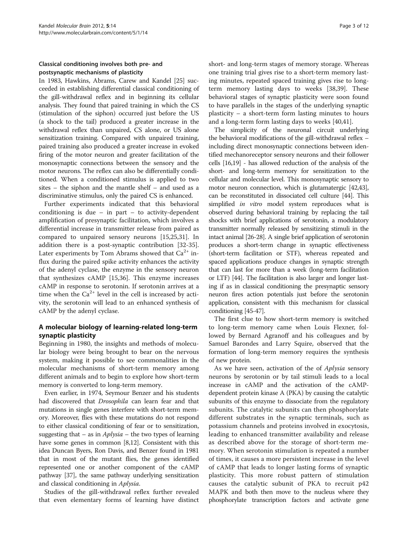### Classical conditioning involves both pre- and postsynaptic mechanisms of plasticity

In 1983, Hawkins, Abrams, Carew and Kandel [\[25\]](#page-9-0) succeeded in establishing differential classical conditioning of the gill-withdrawal reflex and in beginning its cellular analysis. They found that paired training in which the CS (stimulation of the siphon) occurred just before the US (a shock to the tail) produced a greater increase in the withdrawal reflex than unpaired, CS alone, or US alone sensitization training. Compared with unpaired training, paired training also produced a greater increase in evoked firing of the motor neuron and greater facilitation of the monosynaptic connections between the sensory and the motor neurons. The reflex can also be differentially conditioned. When a conditioned stimulus is applied to two sites – the siphon and the mantle shelf – and used as a discriminative stimulus, only the paired CS is enhanced.

Further experiments indicated that this behavioral conditioning is due  $-$  in part  $-$  to activity-dependent amplification of presynaptic facilitation, which involves a differential increase in transmitter release from paired as compared to unpaired sensory neurons [\[15,](#page-8-0)[25,31\]](#page-9-0). In addition there is a post-synaptic contribution [\[32-35](#page-9-0)]. Later experiments by Tom Abrams showed that  $Ca^{2+}$  influx during the paired spike activity enhances the activity of the adenyl cyclase, the enzyme in the sensory neuron that synthesizes cAMP [\[15](#page-8-0)[,36](#page-9-0)]. This enzyme increases cAMP in response to serotonin. If serotonin arrives at a time when the  $Ca^{2+}$  level in the cell is increased by activity, the serotonin will lead to an enhanced synthesis of cAMP by the adenyl cyclase.

### A molecular biology of learning-related long-term synaptic plasticity

Beginning in 1980, the insights and methods of molecular biology were being brought to bear on the nervous system, making it possible to see commonalities in the molecular mechanisms of short-term memory among different animals and to begin to explore how short-term memory is converted to long-term memory.

Even earlier, in 1974, Seymour Benzer and his students had discovered that *Drosophila* can learn fear and that mutations in single genes interfere with short-term memory. Moreover, flies with these mutations do not respond to either classical conditioning of fear or to sensitization, suggesting that – as in  $Aplysia$  – the two types of learning have some genes in common [\[8,12\]](#page-8-0). Consistent with this idea Duncan Byers, Ron Davis, and Benzer found in 1981 that in most of the mutant flies, the genes identified represented one or another component of the cAMP pathway [\[37\]](#page-9-0), the same pathway underlying sensitization and classical conditioning in Aplysia.

Studies of the gill-withdrawal reflex further revealed that even elementary forms of learning have distinct

short- and long-term stages of memory storage. Whereas one training trial gives rise to a short-term memory lasting minutes, repeated spaced training gives rise to longterm memory lasting days to weeks [\[38,39\]](#page-9-0). These behavioral stages of synaptic plasticity were soon found to have parallels in the stages of the underlying synaptic plasticity – a short-term form lasting minutes to hours and a long-term form lasting days to weeks [[40,41](#page-9-0)].

The simplicity of the neuronal circuit underlying the behavioral modifications of the gill-withdrawal reflex – including direct monosynaptic connections between identified mechanoreceptor sensory neurons and their follower cells [\[16,19](#page-8-0)] - has allowed reduction of the analysis of the short- and long-term memory for sensitization to the cellular and molecular level. This monosynaptic sensory to motor neuron connection, which is glutamatergic [[42,43](#page-9-0)], can be reconstituted in dissociated cell culture [\[44\]](#page-9-0). This simplified *in vitro* model system reproduces what is observed during behavioral training by replacing the tail shocks with brief applications of serotonin, a modulatory transmitter normally released by sensitizing stimuli in the intact animal [\[26-28\]](#page-9-0). A single brief application of serotonin produces a short-term change in synaptic effectiveness (short-term facilitation or STF), whereas repeated and spaced applications produce changes in synaptic strength that can last for more than a week (long-term facilitation or LTF) [[44](#page-9-0)]. The facilitation is also larger and longer lasting if as in classical conditioning the presynaptic sensory neuron fires action potentials just before the serotonin application, consistent with this mechanism for classical conditioning [\[45](#page-9-0)-[47](#page-9-0)].

The first clue to how short-term memory is switched to long-term memory came when Louis Flexner, followed by Bernard Agranoff and his colleagues and by Samuel Barondes and Larry Squire, observed that the formation of long-term memory requires the synthesis of new protein.

As we have seen, activation of the of Aplysia sensory neurons by serotonin or by tail stimuli leads to a local increase in cAMP and the activation of the cAMPdependent protein kinase A (PKA) by causing the catalytic subunits of this enzyme to dissociate from the regulatory subunits. The catalytic subunits can then phosphorylate different substrates in the synaptic terminals, such as potassium channels and proteins involved in exocytosis, leading to enhanced transmitter availability and release as described above for the storage of short-term memory. When serotonin stimulation is repeated a number of times, it causes a more persistent increase in the level of cAMP that leads to longer lasting forms of synaptic plasticity. This more robust pattern of stimulation causes the catalytic subunit of PKA to recruit p42 MAPK and both then move to the nucleus where they phosphorylate transcription factors and activate gene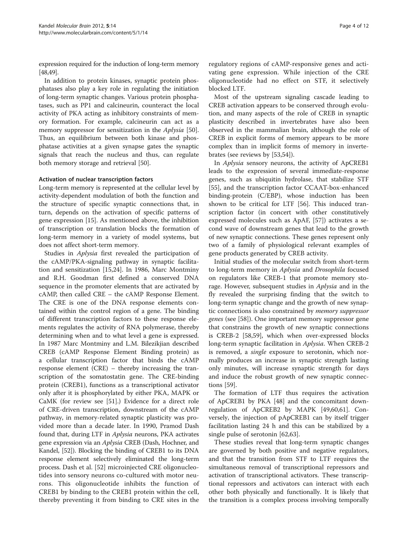expression required for the induction of long-term memory [[48,49\]](#page-9-0).

In addition to protein kinases, synaptic protein phosphatases also play a key role in regulating the initiation of long-term synaptic changes. Various protein phosphatases, such as PP1 and calcineurin, counteract the local activity of PKA acting as inhibitory constraints of memory formation. For example, calcineurin can act as a memory suppressor for sensitization in the *Aplysia* [\[50](#page-9-0)]. Thus, an equilibrium between both kinase and phosphatase activities at a given synapse gates the synaptic signals that reach the nucleus and thus, can regulate both memory storage and retrieval [[50\]](#page-9-0).

#### Activation of nuclear transcription factors

Long-term memory is represented at the cellular level by activity-dependent modulation of both the function and the structure of specific synaptic connections that, in turn, depends on the activation of specific patterns of gene expression [[15\]](#page-8-0). As mentioned above, the inhibition of transcription or translation blocks the formation of long-term memory in a variety of model systems, but does not affect short-term memory.

Studies in Aplysia first revealed the participation of the cAMP/PKA-signaling pathway in synaptic facilitation and sensitization [\[15,](#page-8-0)[24\]](#page-9-0). In 1986, Marc Montminy and R.H. Goodman first defined a conserved DNA sequence in the promoter elements that are activated by cAMP, then called CRE – the cAMP Response Element. The CRE is one of the DNA response elements contained within the control region of a gene. The binding of different transcription factors to these response elements regulates the activity of RNA polymerase, thereby determining when and to what level a gene is expressed. In 1987 Marc Montminy and L.M. Bilezikjian described CREB (cAMP Response Element Binding protein) as a cellular transcription factor that binds the cAMP response element (CRE) – thereby increasing the transcription of the somatostatin gene. The CRE-binding protein (CREB1), functions as a transcriptional activator only after it is phosphorylated by either PKA, MAPK or CaMK (for review see [\[51](#page-9-0)].) Evidence for a direct role of CRE-driven transcription, downstream of the cAMP pathway, in memory-related synaptic plasticity was provided more than a decade later. In 1990, Pramod Dash found that, during LTF in *Aplysia* neurons, PKA activates gene expression via an Aplysia CREB (Dash, Hochner, and Kandel, [\[52\]](#page-9-0)). Blocking the binding of CREB1 to its DNA response element selectively eliminated the long-term process. Dash et al. [\[52](#page-9-0)] microinjected CRE oligonucleotides into sensory neurons co-cultured with motor neurons. This oligonucleotide inhibits the function of CREB1 by binding to the CREB1 protein within the cell, thereby preventing it from binding to CRE sites in the

regulatory regions of cAMP-responsive genes and activating gene expression. While injection of the CRE oligonucleotide had no effect on STF, it selectively blocked LTF.

Most of the upstream signaling cascade leading to CREB activation appears to be conserved through evolution, and many aspects of the role of CREB in synaptic plasticity described in invertebrates have also been observed in the mammalian brain, although the role of CREB in explicit forms of memory appears to be more complex than in implicit forms of memory in invertebrates (see reviews by [[53,54\]](#page-9-0)).

In Aplysia sensory neurons, the activity of ApCREB1 leads to the expression of several immediate-response genes, such as ubiquitin hydrolase, that stabilize STF [[55\]](#page-9-0), and the transcription factor CCAAT-box-enhanced binding-protein (C/EBP), whose induction has been shown to be critical for LTF [[56\]](#page-9-0). This induced transcription factor (in concert with other constitutively expressed molecules such as ApAF, [[57\]](#page-9-0)) activates a second wave of downstream genes that lead to the growth of new synaptic connections. These genes represent only two of a family of physiological relevant examples of gene products generated by CREB activity.

Initial studies of the molecular switch from short-term to long-term memory in Aplysia and Drosophila focused on regulators like CREB-1 that promote memory storage. However, subsequent studies in Aplysia and in the fly revealed the surprising finding that the switch to long-term synaptic change and the growth of new synaptic connections is also constrained by memory suppressor genes (see [[58](#page-9-0)]). One important memory suppressor gene that constrains the growth of new synaptic connections is CREB-2 [\[58,59](#page-9-0)], which when over-expressed blocks long-term synaptic facilitation in Aplysia. When CREB-2 is removed, a *single* exposure to serotonin, which normally produces an increase in synaptic strength lasting only minutes, will increase synaptic strength for days and induce the robust growth of new synaptic connections [[59\]](#page-9-0).

The formation of LTF thus requires the activation of ApCREB1 by PKA [[48\]](#page-9-0) and the concomitant downregulation of ApCREB2 by MAPK [[49](#page-9-0),[60](#page-9-0),[61](#page-9-0)]. Conversely, the injection of pApCREB1 can by itself trigger facilitation lasting 24 h and this can be stabilized by a single pulse of serotonin [[62,63\]](#page-9-0).

These studies reveal that long-term synaptic changes are governed by both positive and negative regulators, and that the transition from STF to LTF requires the simultaneous removal of transcriptional repressors and activation of transcriptional activators. These transcriptional repressors and activators can interact with each other both physically and functionally. It is likely that the transition is a complex process involving temporally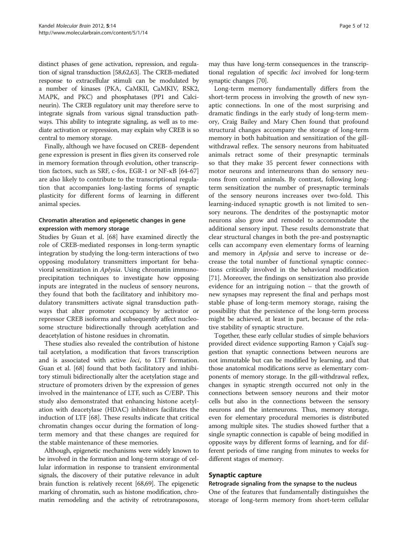distinct phases of gene activation, repression, and regulation of signal transduction [[58,62,63](#page-9-0)]. The CREB-mediated response to extracellular stimuli can be modulated by a number of kinases (PKA, CaMKII, CaMKIV, RSK2, MAPK, and PKC) and phosphatases (PP1 and Calcineurin). The CREB regulatory unit may therefore serve to integrate signals from various signal transduction pathways. This ability to integrate signaling, as well as to mediate activation or repression, may explain why CREB is so central to memory storage.

Finally, although we have focused on CREB- dependent gene expression is present in flies given its conserved role in memory formation through evolution, other transcription factors, such as SRF, c-fos, EGR-1 or NF-κB [\[64-67](#page-9-0)] are also likely to contribute to the transcriptional regulation that accompanies long-lasting forms of synaptic plasticity for different forms of learning in different animal species.

#### Chromatin alteration and epigenetic changes in gene expression with memory storage

Studies by Guan et al. [\[68](#page-10-0)] have examined directly the role of CREB-mediated responses in long-term synaptic integration by studying the long-term interactions of two opposing modulatory transmitters important for behavioral sensitization in Aplysia. Using chromatin immunoprecipitation techniques to investigate how opposing inputs are integrated in the nucleus of sensory neurons, they found that both the facilitatory and inhibitory modulatory transmitters activate signal transduction pathways that alter promoter occupancy by activator or repressor CREB isoforms and subsequently affect nucleosome structure bidirectionally through acetylation and deacetylation of histone residues in chromatin.

These studies also revealed the contribution of histone tail acetylation, a modification that favors transcription and is associated with active *loci*, to LTF formation. Guan et al. [\[68](#page-10-0)] found that both facilitatory and inhibitory stimuli bidirectionally alter the acetylation stage and structure of promoters driven by the expression of genes involved in the maintenance of LTF, such as C/EBP. This study also demonstrated that enhancing histone acetylation with deacetylase (HDAC) inhibitors facilitates the induction of LTF [[68\]](#page-10-0). These results indicate that critical chromatin changes occur during the formation of longterm memory and that these changes are required for the stable maintenance of these memories.

Although, epigenetic mechanisms were widely known to be involved in the formation and long-term storage of cellular information in response to transient environmental signals, the discovery of their putative relevance in adult brain function is relatively recent [\[68,69](#page-10-0)]. The epigenetic marking of chromatin, such as histone modification, chromatin remodeling and the activity of retrotransposons, may thus have long-term consequences in the transcriptional regulation of specific loci involved for long-term synaptic changes [\[70\]](#page-10-0).

Long-term memory fundamentally differs from the short-term process in involving the growth of new synaptic connections. In one of the most surprising and dramatic findings in the early study of long-term memory, Craig Bailey and Mary Chen found that profound structural changes accompany the storage of long-term memory in both habituation and sensitization of the gillwithdrawal reflex. The sensory neurons from habituated animals retract some of their presynaptic terminals so that they make 35 percent fewer connections with motor neurons and interneurons than do sensory neurons from control animals. By contrast, following longterm sensitization the number of presynaptic terminals of the sensory neurons increases over two-fold. This learning-induced synaptic growth is not limited to sensory neurons. The dendrites of the postsynaptic motor neurons also grow and remodel to accommodate the additional sensory input. These results demonstrate that clear structural changes in both the pre-and postsynaptic cells can accompany even elementary forms of learning and memory in *Aplysia* and serve to increase or decrease the total number of functional synaptic connections critically involved in the behavioral modification [[71\]](#page-10-0). Moreover, the findings on sensitization also provide evidence for an intriguing notion – that the growth of new synapses may represent the final and perhaps most stable phase of long-term memory storage, raising the possibility that the persistence of the long-term process might be achieved, at least in part, because of the relative stability of synaptic structure.

Together, these early cellular studies of simple behaviors provided direct evidence supporting Ramon y Cajal's suggestion that synaptic connections between neurons are not immutable but can be modified by learning, and that those anatomical modifications serve as elementary components of memory storage. In the gill-withdrawal reflex, changes in synaptic strength occurred not only in the connections between sensory neurons and their motor cells but also in the connections between the sensory neurons and the interneurons. Thus, memory storage, even for elementary procedural memories is distributed among multiple sites. The studies showed further that a single synaptic connection is capable of being modified in opposite ways by different forms of learning, and for different periods of time ranging from minutes to weeks for different stages of memory.

#### Synaptic capture

Retrograde signaling from the synapse to the nucleus

One of the features that fundamentally distinguishes the storage of long-term memory from short-term cellular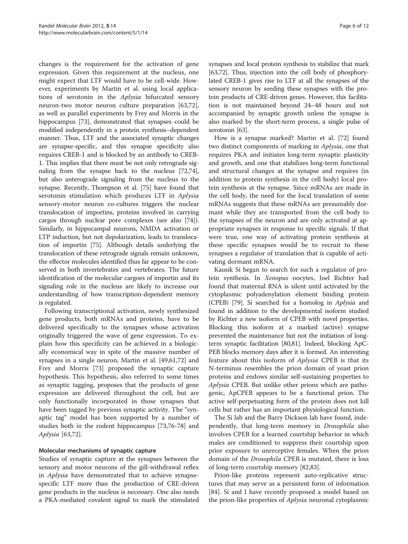changes is the requirement for the activation of gene expression. Given this requirement at the nucleus, one might expect that LTF would have to be cell-wide. However, experiments by Martin et al. using local applications of serotonin in the Aplysia bifurcated sensory neuron-two motor neuron culture preparation [\[63](#page-9-0)[,72](#page-10-0)], as well as parallel experiments by Frey and Morris in the hippocampus [[73](#page-10-0)], demonstrated that synapses could be modified independently in a protein synthesis–dependent manner. Thus, LTF and the associated synaptic changes are synapse-specific, and this synapse specificity also requires CREB-1 and is blocked by an antibody to CREB-1. This implies that there must be not only retrograde signaling from the synapse back to the nucleus [\[72,74](#page-10-0)], but also anterograde signaling from the nucleus to the synapse. Recently, Thompson et al. [\[75](#page-10-0)] have found that serotonin stimulation which produces LTF in Aplysia sensory-motor neuron co-cultures triggers the nuclear translocation of importins, proteins involved in carrying cargos through nuclear pore complexes (see also [[74](#page-10-0)]). Similarly, in hippocampal neurons, NMDA activation or LTP induction, but not depolarization, leads to translocation of importin [\[75\]](#page-10-0). Although details underlying the translocation of these retrograde signals remain unknown, the effector molecules identified thus far appear to be conserved in both invertebrates and vertebrates. The future identification of the molecular cargoes of importin and its signaling role in the nucleus are likely to increase our understanding of how transcription-dependent memory is regulated.

Following transcriptional activation, newly synthesized gene products, both mRNAs and proteins, have to be delivered specifically to the synapses whose activation originally triggered the wave of gene expression. To explain how this specificity can be achieved in a biologically economical way in spite of the massive number of synapses in a single neuron, Martin et al. [\[49,61](#page-9-0)[,72\]](#page-10-0) and Frey and Morris [[73](#page-10-0)] proposed the synaptic capture hypothesis. This hypothesis, also referred to some times as synaptic tagging, proposes that the products of gene expression are delivered throughout the cell, but are only functionally incorporated in those synapses that have been tagged by previous synaptic activity. The "synaptic tag" model has been supported by a number of studies both in the rodent hippocampus [\[73,76](#page-10-0)-[78](#page-10-0)] and Aplysia [[63,](#page-9-0)[72\]](#page-10-0).

#### Molecular mechanisms of synaptic capture

Studies of synaptic capture at the synapses between the sensory and motor neurons of the gill-withdrawal reflex in Aplysia have demonstrated that to achieve synapsespecific LTF more than the production of CRE-driven gene products in the nucleus is necessary. One also needs a PKA-mediated covalent signal to mark the stimulated

synapses and local protein synthesis to stabilize that mark [[63](#page-9-0)[,72](#page-10-0)]. Thus, injection into the cell body of phosphorylated CREB-1 gives rise to LTF at all the synapses of the sensory neuron by seeding these synapses with the protein products of CRE-driven genes. However, this facilitation is not maintained beyond 24–48 hours and not accompanied by synaptic growth unless the synapse is also marked by the short-term process, a single pulse of serotonin [\[63](#page-9-0)].

How is a synapse marked? Martin et al. [[72\]](#page-10-0) found two distinct components of marking in *Aplysia*, one that requires PKA and initiates long-term synaptic plasticity and growth, and one that stabilizes long-term functional and structural changes at the synapse and requires (in addition to protein synthesis in the cell body) local protein synthesis at the synapse. Since mRNAs are made in the cell body, the need for the local translation of some mRNAs suggests that these mRNAs are presumably dormant while they are transported from the cell body to the synapses of the neuron and are only activated at appropriate synapses in response to specific signals. If that were true, one way of activating protein synthesis at these specific synapses would be to recruit to these synapses a regulator of translation that is capable of activating dormant mRNA.

Kausik Si began to search for such a regulator of protein synthesis. In Xenopus oocytes, Joel Richter had found that maternal RNA is silent until activated by the cytoplasmic polyadenylation element binding protein (CPEB) [[79](#page-10-0)]. Si searched for a homolog in Aplysia and found in addition to the developmental isoform studied by Richter a new isoform of CPEB with novel properties. Blocking this isoform at a marked (active) synapse prevented the maintenance but not the initiation of longterm synaptic facilitation [\[80,81](#page-10-0)]. Indeed, blocking ApC-PEB blocks memory days after it is formed. An interesting feature about this isoform of Aplysia CPEB is that its N-terminus resembles the prion domain of yeast prion proteins and endows similar self-sustaining properties to Aplysia CPEB. But unlike other prions which are pathogenic, ApCPEB appears to be a functional prion. The active self-perpetuating form of the protein does not kill cells but rather has an important physiological function.

The Si lab and the Barry Dickson lab have found, independently, that long-term memory in Drosophila also involves CPEB for a learned courtship behavior in which males are conditioned to suppress their courtship upon prior exposure to unreceptive females. When the prion domain of the Drosophila CPEB is mutated, there is loss of long-term courtship memory [\[82,83\]](#page-10-0).

Prion-like proteins represent auto-replicative structures that may serve as a persistent form of information [[84\]](#page-10-0). Si and I have recently proposed a model based on the prion-like properties of *Aplysia* neuronal cytoplasmic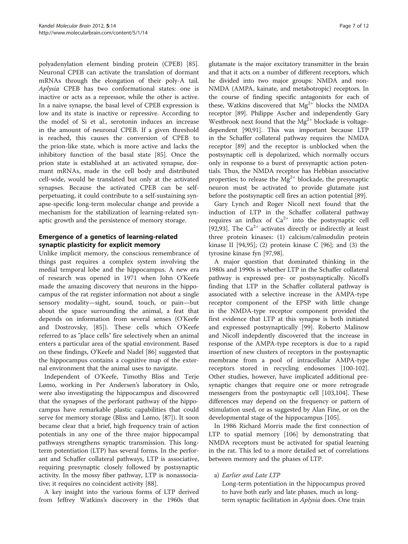polyadenylation element binding protein (CPEB) [\[85](#page-10-0)]. Neuronal CPEB can activate the translation of dormant mRNAs through the elongation of their poly-A tail. Aplysia CPEB has two conformational states: one is inactive or acts as a repressor, while the other is active. In a naive synapse, the basal level of CPEB expression is low and its state is inactive or repressive. According to the model of Si et al., serotonin induces an increase in the amount of neuronal CPEB. If a given threshold is reached, this causes the conversion of CPEB to the prion-like state, which is more active and lacks the inhibitory function of the basal state [\[85\]](#page-10-0). Once the prion state is established at an activated synapse, dormant mRNAs, made in the cell body and distributed cell-wide, would be translated but only at the activated synapses. Because the activated CPEB can be selfperpetuating, it could contribute to a self-sustaining synapse-specific long-term molecular change and provide a mechanism for the stabilization of learning-related synaptic growth and the persistence of memory storage.

# Emergence of a genetics of learning-related synaptic plasticity for explicit memory

Unlike implicit memory, the conscious remembrance of things past requires a complex system involving the medial temporal lobe and the hippocampus. A new era of research was opened in 1971 when John O'Keefe made the amazing discovery that neurons in the hippocampus of the rat register information not about a single sensory modality—sight, sound, touch, or pain—but about the space surrounding the animal, a feat that depends on information from several senses (O'Keefe and Dostrovsky, [[85](#page-10-0)]). These cells which O'Keefe referred to as "place cells" fire selectively when an animal enters a particular area of the spatial environment. Based on these findings, O'Keefe and Nadel [[86\]](#page-10-0) suggested that the hippocampus contains a cognitive map of the external environment that the animal uses to navigate.

Independent of O'Keefe, Timothy Bliss and Terje Lømo, working in Per Andersen's laboratory in Oslo, were also investigating the hippocampus and discovered that the synapses of the perforant pathway of the hippocampus have remarkable plastic capabilities that could serve for memory storage (Bliss and Lømo, [\[87\]](#page-10-0)). It soon became clear that a brief, high frequency train of action potentials in any one of the three major hippocampal pathways strengthens synaptic transmission. This longterm potentiation (LTP) has several forms. In the perforant and Schaffer collateral pathways, LTP is associative, requiring presynaptic closely followed by postsynaptic activity. In the mossy fiber pathway, LTP is nonassociative; it requires no coincident activity [\[88](#page-10-0)].

A key insight into the various forms of LTP derived from Jeffrey Watkins's discovery in the 1960s that

glutamate is the major excitatory transmitter in the brain and that it acts on a number of different receptors, which he divided into two major groups: NMDA and non-NMDA (AMPA, kainate, and metabotropic) receptors. In the course of finding specific antagonists for each of these, Watkins discovered that  $Mg^{2+}$  blocks the NMDA receptor [\[89](#page-10-0)]. Philippe Ascher and independently Gary Westbrook next found that the  $Mg^{2+}$  blockade is voltagedependent [[90,91](#page-10-0)]. This was important because LTP in the Schaffer collateral pathway requires the NMDA receptor [[89](#page-10-0)] and the receptor is unblocked when the postsynaptic cell is depolarized, which normally occurs only in response to a burst of presynaptic action potentials. Thus, the NMDA receptor has Hebbian associative properties; to release the  $Mg^{2+}$  blockade, the presynaptic neuron must be activated to provide glutamate just before the postsynaptic cell fires an action potential [\[89\]](#page-10-0).

Gary Lynch and Roger Nicoll next found that the induction of LTP in the Schaffer collateral pathway requires an influx of  $Ca^{2+}$  into the postsynaptic cell [[92,93\]](#page-10-0). The  $Ca^{2+}$  activates directly or indirectly at least three protein kinases: (1) calcium/calmodulin protein kinase II  $[94,95]$ ; (2) protein kinase C  $[96]$  $[96]$ ; and (3) the tyrosine kinase fyn [\[97,98](#page-10-0)].

A major question that dominated thinking in the 1980s and 1990s is whether LTP in the Schaffer collateral pathway is expressed pre- or postsynaptically. Nicoll's finding that LTP in the Schaffer collateral pathway is associated with a selective increase in the AMPA-type receptor component of the EPSP with little change in the NMDA-type receptor component provided the first evidence that LTP at this synapse is both initiated and expressed postsynaptically [[99](#page-10-0)]. Roberto Malinow and Nicoll indepdently discovered that the increase in response of the AMPA-type receptors is due to a rapid insertion of new clusters of receptors in the postsynaptic membrane from a pool of intracellular AMPA-type receptors stored in recycling endosomes [\[100](#page-10-0)-[102](#page-10-0)]. Other studies, however, have implicated additional presynaptic changes that require one or more retrograde messengers from the postsynaptic cell [\[103,104\]](#page-10-0). These differences may depend on the frequency or pattern of stimulation used, or as suggested by Alan Fine, or on the developmental stage of the hippocampus [\[105\]](#page-10-0).

In 1986 Richard Morris made the first connection of LTP to spatial memory [\[106](#page-10-0)] by demonstrating that NMDA receptors must be activated for spatial learning in the rat. This led to a more detailed set of correlations between memory and the phases of LTP.

### a) Earlier and Late LTP

Long-term potentiation in the hippocampus proved to have both early and late phases, much as longterm synaptic facilitation in Aplysia does. One train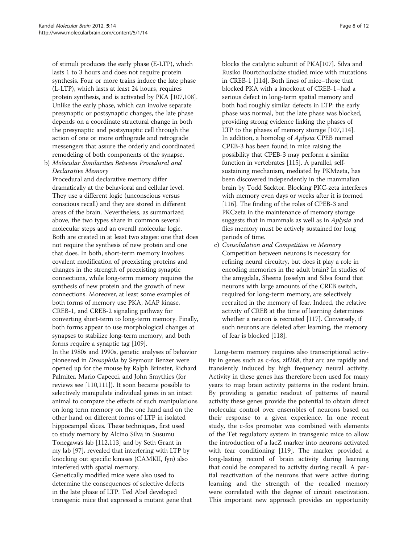of stimuli produces the early phase (E-LTP), which lasts 1 to 3 hours and does not require protein synthesis. Four or more trains induce the late phase (L-LTP), which lasts at least 24 hours, requires protein synthesis, and is activated by PKA [\[107,108](#page-10-0)]. Unlike the early phase, which can involve separate presynaptic or postsynaptic changes, the late phase depends on a coordinate structural change in both the presynaptic and postsynaptic cell through the action of one or more orthograde and retrograde messengers that assure the orderly and coordinated remodeling of both components of the synapse.

b) Molecular Similarities Between Procedural and Declarative Memory

Procedural and declarative memory differ dramatically at the behavioral and cellular level. They use a different logic (unconscious versus conscious recall) and they are stored in different areas of the brain. Nevertheless, as summarized above, the two types share in common several molecular steps and an overall molecular logic. Both are created in at least two stages: one that does not require the synthesis of new protein and one that does. In both, short-term memory involves covalent modification of preexisting proteins and changes in the strength of preexisting synaptic connections, while long-term memory requires the synthesis of new protein and the growth of new connections. Moreover, at least some examples of both forms of memory use PKA, MAP kinase, CREB-1, and CREB-2 signaling pathway for converting short-term to long-term memory. Finally, both forms appear to use morphological changes at synapses to stabilize long-term memory, and both forms require a synaptic tag [\[109\]](#page-10-0).

In the 1980s and 1990s, genetic analyses of behavior pioneered in Drosophila by Seymour Benzer were opened up for the mouse by Ralph Brinster, Richard Palmiter, Mario Capecci, and John Smythies (for reviews see [[110,111](#page-10-0)]). It soon became possible to selectively manipulate individual genes in an intact animal to compare the effects of such manipulations on long term memory on the one hand and on the other hand on different forms of LTP in isolated hippocampal slices. These techniques, first used to study memory by Alcino Silva in Susumu Tonegawa's lab [[112,113\]](#page-10-0) and by Seth Grant in my lab [[97](#page-10-0)], revealed that interfering with LTP by knocking out specific kinases (CAMKII, fyn) also interfered with spatial memory. Genetically modified mice were also used to determine the consequences of selective defects in the late phase of LTP. Ted Abel developed

transgenic mice that expressed a mutant gene that

blocks the catalytic subunit of PKA[\[107\]](#page-10-0). Silva and Rusiko Bourtchouladze studied mice with mutations in CREB-1 [\[114\]](#page-10-0). Both lines of mice–those that blocked PKA with a knockout of CREB-1–had a serious defect in long-term spatial memory and both had roughly similar defects in LTP: the early phase was normal, but the late phase was blocked, providing strong evidence linking the phases of LTP to the phases of memory storage [[107](#page-10-0),[114\]](#page-10-0). In addition, a homolog of Aplysia CPEB named CPEB-3 has been found in mice raising the possibility that CPEB-3 may perform a similar function in vertebrates [[115](#page-10-0)]. A parallel, selfsustaining mechanism, mediated by PKMzeta, has been discovered independently in the mammalian brain by Todd Sacktor. Blocking PKC-zeta interferes with memory even days or weeks after it is formed [[116\]](#page-10-0). The finding of the roles of CPEB-3 and PKCzeta in the maintenance of memory storage suggests that in mammals as well as in *Aplysia* and flies memory must be actively sustained for long periods of time.

c) Consolidation and Competition in Memory Competition between neurons is necessary for refining neural circuitry, but does it play a role in encoding memories in the adult brain? In studies of the amygdala, Sheena Josselyn and Silva found that neurons with large amounts of the CREB switch, required for long-term memory, are selectively recruited in the memory of fear. Indeed, the relative activity of CREB at the time of learning determines whether a neuron is recruited [[117](#page-10-0)]. Conversely, if such neurons are deleted after learning, the memory of fear is blocked [\[118\]](#page-11-0).

Long-term memory requires also transcriptional activity in genes such as c-fos, zif268, that arc are rapidly and transiently induced by high frequency neural activity. Activity in these genes has therefore been used for many years to map brain activity patterns in the rodent brain. By providing a genetic readout of patterns of neural activity these genes provide the potential to obtain direct molecular control over ensembles of neurons based on their response to a given experience. In one recent study, the c-fos promoter was combined with elements of the Tet regulatory system in transgenic mice to allow the introduction of a lacZ marker into neurons activated with fear conditioning [[119\]](#page-11-0). The marker provided a long-lasting record of brain activity during learning that could be compared to activity during recall. A partial reactivation of the neurons that were active during learning and the strength of the recalled memory were correlated with the degree of circuit reactivation. This important new approach provides an opportunity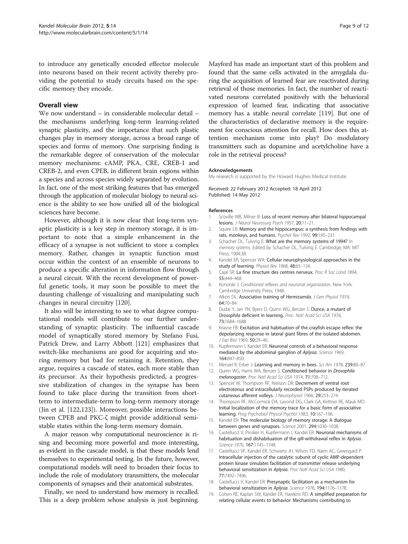<span id="page-8-0"></span>to introduce any genetically encoded effector molecule into neurons based on their recent activity thereby providing the potential to study circuits based on the specific memory they encode.

#### Overall view

We now understand – in considerable molecular detail – the mechanisms underlying long-term learning-related synaptic plasticity, and the importance that such plastic changes play in memory storage, across a broad range of species and forms of memory. One surprising finding is the remarkable degree of conservation of the molecular memory mechanisms: cAMP, PKA, CRE, CREB-1 and CREB-2, and even CPEB, in different brain regions within a species and across species widely separated by evolution. In fact, one of the most striking features that has emerged through the application of molecular biology to neural science is the ability to see how unified all of the biological sciences have become.

However, although it is now clear that long-term synaptic plasticity is a key step in memory storage, it is important to note that a simple enhancement in the efficacy of a synapse is not sufficient to store a complex memory. Rather, changes in synaptic function must occur within the context of an ensemble of neurons to produce a specific alteration in information flow through a neural circuit. With the recent development of powerful genetic tools, it may soon be possible to meet the daunting challenge of visualizing and manipulating such changes in neural circuitry [[120\]](#page-11-0).

It also will be interesting to see to what degree computational models will contribute to our further understanding of synaptic plasticity. The influential cascade model of synaptically stored memory by Stefano Fusi, Patrick Drew, and Larry Abbott [\[121\]](#page-11-0) emphasizes that switch-like mechanisms are good for acquiring and storing memory but bad for retaining it. Retention, they argue, requires a cascade of states, each more stable than its precursor. As their hypothesis predicted, a progressive stabilization of changes in the synapse has been found to take place during the transition from shortterm to intermediate-term to long-term memory storage (Jin et al. [[122,123](#page-11-0)]). Moreover, possible interactions between CPEB and PKC-ζ might provide additional semistable states within the long-term memory domain.

A major reason why computational neuroscience is rising and becoming more powerful and more interesting, as evident in the cascade model, is that these models lend themselves to experimental testing. In the future, however, computational models will need to broaden their focus to include the role of modulatory transmitters, the molecular components of synapses and their anatomical substrates.

Finally, we need to understand how memory is recalled. This is a deep problem whose analysis is just beginning. Mayford has made an important start of this problem and found that the same cells activated in the amygdala during the acquisition of learned fear are reactivated during retrieval of those memories. In fact, the number of reactivated neurons correlated positively with the behavioral expression of learned fear, indicating that associative memory has a stable neural correlate [\[119](#page-11-0)]. But one of the characteristics of declarative memory is the requirement for conscious attention for recall. How does this attention mechanism come into play? Do modulatory transmitters such as dopamine and acetylcholine have a role in the retrieval process?

#### Acknowledgements

My research is supported by the Howard Hughes Medical Institute.

Received: 22 February 2012 Accepted: 18 April 2012 Published: 14 May 2012

#### References

- Scoville WB, Milner B: Loss of recent memory after bilateral hippocampal lesions. J Neurol Neurosurg Psych 1957, 20:11–21.
- 2. Squire LR: Memory and the hippocampus: a synthesis from findings with rats, monkeys, and humans. Psychol Rev 1992, 99:195–231.
- 3. Schacher DL, Tulving E: What are the memory systems of 1994? In memory systems. Edited by Schacher DL, Tulving E. Cambridge, MA: MIT Press; 1994:38.
- 4. Kandel ER, Spencer WA: Cellular neurophysiological approaches in the study of learning. Physiol Rev 1968, 48:65–134.
- Cajal SR: La fine structure des centres nerveux. Proc R Soc Lond 1894, 55:444–468.
- 6. Konorski J: Conditioned reflexes and neuronal organization. New York: Cambridge University Press; 1948.
- 7. Alkon DL: Associative training of Hermissenda. J Gen Physiol 1974, 64:70–84.
- 8. Dudai Y, Jan YN, Byers D, Quinn WG, Benzer S: Dunce, a mutant of Drosophila deficient in learning. Proc. Natl Acad Sci USA 1976, 73:1684–1688.
- 9. Krasne FB: Excitation and habituation of the crayfish escape reflex: the depolarizing response in lateral giant fibres of the isolated abdomen. J Exp Biol 1969, 50:29–46.
- 10. Kupfermann I, Kandel ER: Neuronal controls of a behavioral response mediated by the abdominal ganglion of Aplysia. Science 1969, 164:847–850.
- 11. Menzel R, Erber J: Learning and memory in bees. Sci Am 1978, 239:80-87.
- 12. Quinn WG, Harris WA, Benzer S: Conditioned behavior in Drosophila melanogaster. Proc Natl Acad Sci USA 1974, 71:708–712.
- 13. Spencer W, Thompson RF, Nielson DR: Decrement of ventral root electrotonus and intracellularly recorded PSPs produced by iterated cutaneous afferent volleys. J Neurophysiol 1966, 29:253–274.
- 14. Thompson RF, McCormick DA, Lavond DG, Clark GA, Kettner RE, Mauk MD: Initial localization of the memory trace for a basic form of associative learning. Prog Psychobiol Physiol Psychol 1983, 10:167–196.
- 15. Kandel ER: The molecular biology of memory storage: A dialogue between genes and synapses. Science 2001, 294:1030–1038.
- 16. Castellucci V, Pinsker H, Kupfermann I, Kandel ER: Neuronal mechanisms of habituation and dishabituation of the gill-withdrawal reflex in Aplysia. Science 1970, 167:1745–1748.
- 17. Castellucci VF, Kandel ER, Schwartz JH, Wilson FD, Nairn AC, Greengard P: Intracellular injection of the catalytic subunit of cyclic AMP-dependent protein kinase simulates facilitation of transmitter release underlying behavioral sensitization in Aplysia. Proc Natl Acad Sci USA 1980, 77:7492–7496.
- 18. Castellucci V, Kandel ER: Presynaptic facilitation as a mechanism for behavioral sensitization in Aplysia. Science 1976, 194:1176–1178.
- 19. Cohen RE, Kaplan SW, Kandel ER, Hawkins RD: A simplified preparation for relating cellular events to behavior: Mechanisms contributing to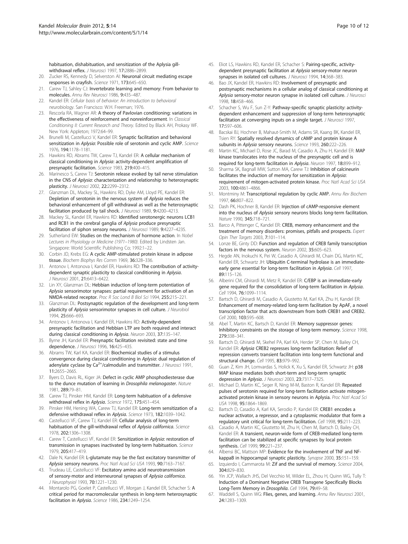<span id="page-9-0"></span>habituation, dishabituation, and sensitization of the Aplysia gillwithdrawal reflex. J Neurosci 1997, 17:2886–2899.

- 20. Zucker RS, Kennedy D, Selverston AI: Neuronal circuit mediating escape responses in crayfish. Science 1971, 173:645–650.
- 21. Carew TJ, Sahley CJ: Invertebrate learning and memory: From behavior to molecules. Annu Rev Neurosci 1986, 9:435–487.
- 22. Kandel ER: Cellular basis of behavior: An introduction to behavioral neurobiology. San Francisco: W.H. Freeman; 1976.
- 23. Rescorla RA, Wagner AR: A theory of Pavlovian conditioning: variations in the effectiveness of reinforcement and nonreinforcement. In Classical Conditioning II: Current Research and Theory. Edited by Black AH, Prokasy WF. New York: Appleton; 1972:64–99.
- 24. Brunelli M, Castellucci V, Kandel ER: Synaptic facilitation and behavioral sensitization in Aplysia: Possible role of serotonin and cyclic AMP. Science 1976, 194:1178–1181.
- 25. Hawkins RD, Abrams TW, Carew TJ, Kandel ER: A cellular mechanism of classical conditioning in Aplysia: activity-dependent amplification of presynaptic facilitation. Science 1983, 219:400–415.
- 26. Marinesco S, Carew TJ: Serotonin release evoked by tail nerve stimulation in the CNS of Aplysia: characterization and relationship to heterosynaptic plasticity. J Neurosci 2002, 22:2299–2312.
- 27. Glanzman DL, Mackey SL, Hawkins RD, Dyke AM, Lloyd PE, Kandel ER: Depletion of serotonin in the nervous system of Aplysia reduces the behavioral enhancement of gill withdrawal as well as the heterosynaptic facilitation produced by tail shock. *J Neurosci* 1989, 9:4200-4213.
- 28. Mackey SL, Kandel ER, Hawkins RD: Identified serotonergic neurons LCB1 and RCB1 in the cerebral ganglia of Aplysia produce presynaptic facilitation of siphon sensory neurons. J Neurosci 1989, 9:4227-4235.
- 29. Sutherland EW: Studies on the mechanism of hormone action. In Nobel Lectures in Physiology or Medicine (1971–1980). Edited by Lindsten Jan. Singapore: World Scientific Publishing Co; 1992:1–22.
- 30. Corbin JD, Krebs EG: A cyclic AMP-stimulated protein kinase in adipose tissue. Biochem Biophys Res Comm 1969, 36:328–336.
- 31. Antonov I, Antonova I, Kandel ER, Hawkins RD: The contribution of activitydependent synaptic plasticity to classical conditioning in Aplysia. J Neurosci 2001, 21:6413–6422.
- 32. Lin XY, Glanzman DL: Hebbian induction of long-term potentiation of Aplysia sensorimotor synapses: partial requirement for activation of an NMDA-related receptor. Proc R Soc Lond B Biol Sci 1994, 255:215–221.
- 33. Glanzman DL: Postsynaptic regulation of the development and long-term plasticity of Aplysia sensorimotor synapses in cell culture. J Neurobiol 1994, 25:666–693.
- 34. Antonov I, Antonova I, Kandel ER, Hawkins RD: Activity-dependent presynaptic facilitation and Hebbian LTP are both required and interact during classical conditioning in Aplysia. Neuron 2003, 37:135–147.
- 35. Byrne JH, Kandel ER: Presynaptic facilitation revisited: state and time dependence. J Neurosci 1996, 16:425–435.
- 36. Abrams TW, Karl KA, Kandel ER: Biochemical studies of a stimulus convergence during classical conditioning in Aplysia: dual regulation of adenylate cyclase by  $Ca^{2+}/c$ almodulin and transmitter. *J Neurosci* 1991, 11:2655–2665.
- 37. Byers D, Davis RL, Kiger JA: Defect in cyclic AMP phosphodiesterase due to the dunce mutation of learning in Drosophila melanogaster. Nature 1981, 289:79–81.
- 38. Carew TJ, Pinsker HM, Kandel ER: Long-term habituation of a defensive withdrawal reflex in Aplysia. Science 1972, 175:451-454.
- 39. Pinsker HM, Hening WA, Carew TJ, Kandel ER: Long-term sensitization of a defensive withdrawal reflex in Aplysia. Science 1973, 182:1039–1042.
- 40. Castellucci VF, Carew TJ, Kandel ER: Cellular analysis of long-term habituation of the gill-withdrawal reflex of Aplysia californica. Science 1978, 202:1306–1308.
- 41. Carew T, Castellucci VF, Kandel ER: Sensitization in Aplysia: restoration of transmission in synapses inactivated by long-term habituation. Science 1979, 205:417–419.
- 42. Dale N, Kandel ER: L-glutamate may be the fast excitatory transmitter of Aplysia sensory neurons. Proc Natl Acad Sci USA 1993, 90:7163-7167.
- 43. Trudeau LE, Castellucci VF: Excitatory amino acid neurotransmission of sensory-motor and interneuronal synapses of Aplysia californica. J Neurophysiol 1993, 70:1221–1230.
- 44. Montarolo PG, Goelet P, Castellucci VF, Morgan J, Kandel ER, Schacher S: A critical period for macromolecular synthesis in long-term heterosynaptic facilitation in Aplysia. Science 1986, 234:1249–1254.
- 45. Eliot LS, Hawkins RD, Kandel ER, Schacher S: Pairing-specific, activitydependent presynaptic facilitation at Aplysia sensory-motor neuron synapses in isolated cell cultures. J Neurosci 1994, 14:368-383.
- 46. Bao JX, Kandel ER, Hawkins RD: Involvement of presynaptic and postsynaptic mechanisms in a cellular analog of classical conditioning at Aplysia sensory-motor neuron synapse in isolated cell culture. J Neurosci 1998, 18:458–466.
- 47. Schacher S, Wu F, Sun Z-Y: Pathway-specific synaptic plasticity: activitydependent enhancement and suppression of long-term heterosynaptic facilitation at converging inputs on a single target. J Neurosci 1997, 17:597–606.
- 48. Bacskai BJ, Hochner B, Mahaut-Smith M, Adams SR, Kaang BK, Kandel ER, Tsien RY: Spatially resolved dynamics of cAMP and protein kinase A subunits in Aplysia sensory neurons. Science 1993, 260:222-226.
- 49. Martin KC, Michael D, Rose JC, Barad M, Casadio A, Zhu H, Kandel ER: MAP kinase translocates into the nucleus of the presynaptic cell and is required for long-term facilitation in Aplysia. Neuron 1997, 18:899–912.
- 50. Sharma SK, Bagnall MW, Sutton MA, Carew TJ: Inhibition of calcineurin facilitates the induction of memory for sensitization in Aplysia: requirement of mitogen-activated protein kinase. Proc Natl Acad Sci USA 2003, 100:4861–4866.
- 51. Montminy M: Transcriptional regulation by cyclic AMP. Annu Rev Biochem 1997, 66:807–822.
- 52. Dash PK, Hochner B, Kandel ER: Injection of cAMP-responsive element into the nucleus of Aplysia sensory neurons blocks long-term facilitation. Nature 1990, 345:718–721.
- 53. Barco A, Pittenger C, Kandel ER: CREB, memory enhancement and the treatment of memory disorders: promises, pitfalls and prospects. Expert Opin Ther Targets 2003, 7:101–114.
- 54. Lonze BE, Ginty DD: Function and regulation of CREB family transcription factors in the nervous system. Neuron 2002, 35:605–623.
- 55. Hegde AN, Inokuchi K, Pei W, Casadio A, Ghirardi M, Chain DG, Martin KC, Kandel ER, Schwartz JH: Ubiquitin C-terminal hydrolase is an immediateearly gene essential for long-term facilitation in Aplysia. Cell 1997, 89:115–126.
- 56. Alberini CM, Ghirardi M, Metz R, Kandel ER: C/EBP is an immediate-early gene required for the consolidation of long-term facilitation in Aplysia. Cell 1994, 76:1099–1114.
- 57. Bartsch D, Ghirardi M, Casadio A, Giustetto M, Karl KA, Zhu H, Kandel ER: Enhancement of memory-related long-term facilitation by ApAF, a novel transcription factor that acts downstream from both CREB1 and CREB2. Cell 2000, 103:595-608.
- 58. Abel T, Martin KC, Bartsch D, Kandel ER: Memory suppressor genes: Inhibitory constraints on the storage of long-term memory. Science 1998, 279:338–341.
- 59. Bartsch D, Ghirardi M, Skehel PA, Karl KA, Herder SP, Chen M, Bailey CH, Kandel ER: Aplysia CREB2 represses long-term facilitation: Relief of repression converts transient facilitation into long-term functional and structural change. Cell 1995, 83:979–992.
- 60. Guan Z, Kim JH, Lomvardas S, Holick K, Xu S, Kandel ER, Schwartz JH: p38 MAP kinase mediates both short-term and long-term synaptic depression in Aplysia. J Neurosci 2003, 23:7317-7325.
- 61. Michael D, Martin KC, Seger R, Ning M-M, Baston R, Kandel ER: Repeated pulses of serotonin required for long-term facilitation activate mitogenactivated protein kinase in sensory neurons in Aplysia. Proc Natl Acad Sci USA 1998, 95:1864–1869.
- 62. Bartsch D, Casadio A, Karl KA, Serodio P, Kandel ER: CREB1 encodes a nuclear activator, a repressor, and a cytoplasmic modulator that form a regulatory unit critical for long-term facilitation. Cell 1998, 95:211–223.
- Casadio A, Martin KC, Giustetto M, Zhu H, Chen M, Bartsch D, Bailey CH, Kandel ER: A transient, neuron-wide form of CREB-mediated long-term facilitation can be stabilized at specific synapses by local protein synthesis. Cell 1999, 99:221–237.
- Albensi BC, Mattson MP: Evidence for the involvement of TNF and NFkappaB in hippocampal synaptic plasticity. Synapse 2000, 35:151-159.
- 65. Izquierdo I, Cammarota M: Zif and the survival of memory. Science 2004, 304:829–830.
- 66. Yin JCP, Wallach JHS, Del Vecchio M, Wilder EL, Zhou H, Quinn WG, Tully T: Induction of a Dominant Negative CREB Transgene Specifically Blocks Long-Term Memory in Drosophila. Cell 1994, 79:49-58.
- 67. Waddell S, Quinn WG: Flies, genes, and learning. Annu Rev Neurosci 2001, 24:1283–1309.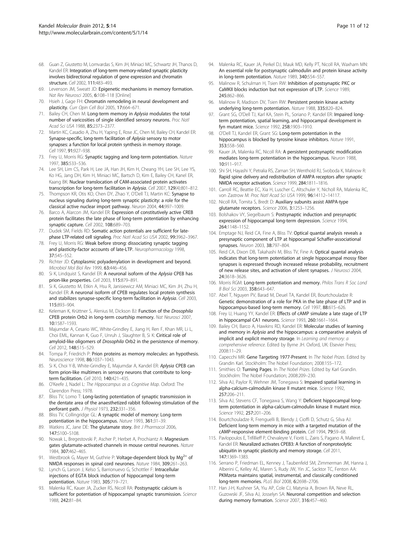- <span id="page-10-0"></span>68. Guan Z, Giustetto M, Lomvardas S, Kim JH, Miniaci MC, Schwartz JH, Thanos D, Kandel ER: Integration of long-term memory-related synaptic plasticity involves bidirectional regulation of gene expression and chromatin structure. Cell 2002, 111:483–493.
- 69. Levenson JM, Sweatt JD: Epigenetic mechanisms in memory formation. Nat Rev Neurosci 2005, 6:108–118 [Online]
- 70. Hsieh J, Gage FH: Chromatin remodeling in neural development and plasticity. Curr Opin Cell Biol 2005, 17:664–671.
- 71. Bailey CH, Chen M: Long-term memory in Aplysia modulates the total number of varicosities of single identified sensory neurons. Proc Natl Acad Sci USA 1988, 85:2373–2377.
- 72. Martin KC, Casadio A, Zhu H, Yaping E, Rose JC, Chen M, Bailey CH, Kandel ER: Synapse-specific, long-term facilitation of Aplysia sensory to motor synapses: a function for local protein synthesis in memory storage. Cell 1997, 91:927–938.
- 73. Frey U, Morris RG: Synaptic tagging and long-term potentiation. Nature 1997, 385:533–536.
- 74. Lee SH, Lim CS, Park H, Lee JA, Han JH, Kim H, Cheang YH, Lee SH, Lee YS, Ko HG, Jang DH, Kim H, Miniaci MC, Bartsch D, Kim E, Bailey CH, Kanel ER, Kaang BK: Nuclear translocation of CAM-associated protein activates transcription for long-term facilitation in Aplysia. Cell 2007, 129(4):801–812.
- 75. Thompson KR, Otis KO, Chen DY, Zhao Y, O'Dell TJ, Martin KC: Synapse to nucleus signaling during long-term synaptic plasticity: a role for the classical active nuclear import pathway. Neuron 2004, 44:997-1009
- 76. Barco A, Alarcon JM, Kandel ER: Expression of constitutively active CREB protein facilitates the late phase of long-term potentiation by enhancing synaptic capture. Cell 2002, 108:689-703.
- 77. Dudek SM, Fields RD: Somatic action potentials are sufficient for latephase LTP-related cell signaling. Proc Natl Acad Sci USA 2002, 99:3962–3967.
- 78. Frey U, Morris RG: Weak before strong: dissociating synaptic tagging and plasticity-factor accounts of late-LTP. Neuropharmacology 1998, 37:545–552.
- 79. Richter JD: Cytoplasmic polyadenylation in development and beyond. Microbiol Mol Biol Rev 1999, 63:446-456.
- 80. Si K, Lindquist S, Kandel ER: A neuronal isoform of the Aplysia CPEB has prion-like properties. Cell 2003, 115:879-891.
- 81. Si K, Giustetto M, Etkin A, Hsu R, Janisiewicz AM, Miniaci MC, Kim JH, Zhu H, Kandel ER: A neuronal isoform of CPEB regulates local protein synthesis and stabilizes synapse-specific long-term facilitation in Aplysia. Cell 2003, 115:893–904.
- 82. Keleman K, Krüttner S, Alenius M, Dickson BJ: Function of the Drosophila CPEB protein Orb2 in long-term courtship memory. Nat Neurosci 2007, 10:1587–1593.
- 83. Majumdar A, Cesario WC, White-Grindley E, Jiang H, Ren F, Khan MR, Li L, Choi EML, Kannan K, Guo F, Unruh J, Slaughter B, Si K: Ciritical role of amyloid-like oligomers of Drosophila Orb2 in the persistence of memory. Cell 2012, 148:515-529.
- 84. Tompa P, Friedrich P: Prion proteins as memory molecules: an hypothesis. Neuroscience 1998, 86:1037–1043.
- 85. Si K, Choi Y-B, White-Grindley E, Majumdar A, Kandel ER: Aplysia CPEB can form prion-like multimers in sensory neurons that contribute to longterm facilitation. Cell 2010, 140:421–435.
- 86. O'Keefe J, Nadel L: The Hippocampus as a Cognitive Map. Oxford: The Clarendon Press; 1978.
- 87. Bliss TV, Lomo T: Long-lasting potentiation of synaptic transmission in the dentate area of the anaesthetized rabbit following stimulation of the perforant path. J Physiol 1973, 232:331–356.
- 88. Bliss TV, Collingridge GL: A synaptic model of memory: Long-term potentiation in the hippocampus. Nature 1993, 361:31–39.
- 89. Watkins JC, Jane DE: The glutamate story. Brit J Pharmacol 2006, 147:S100–S108.
- 90. Nowak L, Bregestovski P, Ascher P, Herbet A, Prochiantz A: Magnesium gates glutamate-activated channels in mouse central neurones. Nature 1984, 307:462-465.
- 91. Westbrook G, Mayer M, Guthrie P: Voltage-dependent block by  $Mq^{2+}$  of NMDA responses in spinal cord neurones. Nature 1984, 309:261–263.
- 92. Lynch G, Larson J, Kelso S, Barrionuevo G, Schottler F: Intracellular injections of EGTA block induction of hippocampal long-term potentiation. Nature 1983, 305:719–721.
- 93. Malenka RC, Kauer JA, Zucker RS, Nicoll RA: Postsynaptic calcium is sufficient for potentiation of hippocampal synaptic transmission. Science 1988, 242:81–84.
- 94. Malenka RC, Kauer JA, Perkel DJ, Mauk MD, Kelly PT, Nicoll RA, Waxham MN: An essential role for postsynaptic calmodulin and protein kinase activity in long-term potentiation. Nature 1989, 340:554–557.
- 95. Malinow R, Schulman H, Tsien RW: Inhibition of postsynaptic PKC or CaMKII blocks induction but not expression of LTP. Science 1989, 245:862–866.
- 96. Malinow R, Madison DV, Tsien RW: Persistent protein kinase activity underlying long-term potentiation. Nature 1988, 335:820–824.
- 97. Grant SG, O'Dell TJ, Karl KA, Stein PL, Soriano P, Kandel ER: Impaired longterm potentiation, spatial learning, and hippocampal development in fyn mutant mice. Science 1992, 258:1903–1910.
- 98. O'Dell TJ, Kandel ER, Grant SG: Long-term potentiation in the hippocampus is blocked by tyrosine kinase inhibitors. Nature 1991, 353:558–560.
- Kauer JA, Malenka RC, Nicoll RA: A persistent postsynaptic modification mediates long-term potentiation in the hippocampus. Neuron 1988, 10:911–917.
- 100. Shi SH, Hayashi Y, Petralia RS, Zaman SH, Wenthold RJ, Svoboda K, Malinow R: Rapid spine delivery and redistribution of AMPA receptors after synaptic NMDA receptor activation. Science 1999, 284:1811–1816.
- 101. Carroll RC, Beattie EC, Xia H, Luscher C, Altschuler Y, Nicholl RA, Malenka RC, von Zastrow M: Proc Natl Acad Sci USA 1999, 96:14112-14117
- 102. Nicoll RA, Tomita S, Bredt D: Auxiliary subunits assist AMPA-type glutamate receptors. Science 2006, 3:1253–1256.
- 103. Bolshakov VY, Siegelbaum S: Postsynaptic induction and presynaptic expression of hippocampal long-term depression. Science 1994, 264:1148–1152.
- 104. Emptage NJ, Reid CA, Fine A, Bliss TV: Optical quantal analysis reveals a presynaptic component of LTP at hippocampal Schaffer-associational synapses. Neuron 2003, 38:797–804.
- 105. Reid CA, Dixon DB, Takahashi M, Bliss TV, Fine A: Optical quantal analysis indicates that long-term potentiation at single hippocampal mossy fiber synapses is expressed through increased release probability, recruitment of new release sites, and activation of silent synapses. J Neurosci 2004, 24:3618–3626.
- 106. Morris RGM: Long-term potentiation and memory. Philos Trans R Soc Lond B Biol Sci 2003, 358:643–647.
- 107. Abel T, Nguyen PV, Barad M, Deuel TA, Kandel ER, Bourtchouladze R: Genetic demonstration of a role for PKA in the late phase of LTP and in hippocampus-based long-term memory. Cell 1997, 88:615-626.
- 108. Frey U, Huang YY, Kandel ER: Effects of cAMP simulate a late stage of LTP in hippocampal CA1 neurons. Science 1993, 260:1661–1664.
- 109. Bailey CH, Barco A, Hawkins RD, Kandel ER: Molecular studies of learning and memory in Aplysia and the hippocampus: a comparative analysis of implicit and explicit memory storage. In Learning and memory: a comprehensive reference. Edited by Byrne JH. Oxford, UK: Elsevier Press; 2008:11–29.
- 110. Capecchi MR: Gene Targeting 1977-Present. In The Nobel Prizes. Edited by Grandin Karl. Stockholm: The Nobel Foundation; 2008:155–172.
- 111. Smithies O: Turning Pages. In The Nobel Prizes. Edited by Karl Grandin. Stockholm: The Nobel Foundation; 2008:209–230.
- 112. Silva AJ, Paylor R, Wehner JM, Tonegawa S: Impaired spatial learning in alpha-calcium-calmodulin kinase II mutant mice. Science 1992, 257:206–211.
- 113. Silva AJ, Stevens CF, Tonegawa S, Wang Y: Deficient hippocampal longterm potentiation in alpha-calcium-calmodulin kinase II mutant mice. Science 1992, 257:201-206.
- 114. Bourtchouladze R, Frenguelli B, Blendy J, Cioffi D, Schutz G, Silva AJ: Deficient long-term memory in mice with a targeted mutation of the cAMP-responsive element-binding protein. Cell 1994, 79:59–68.
- 115. Pavlopoulos E, Trifillieff P, Chevaleyre V, Fioriti L, Zairis S, Pagano A, Malleret E, Kandel ER: Neuralized activates CPEB3: A function of nonproteolytic ubiquitin in synaptic plasticity and memory storage. Cell 2011, 147:1369–1383.
- 116. Serrano P, Friedman EL, Kenney J, Taubenfeld SM, Zimmerman JM, Hanna J, Alberini C, Kelley AE, Maren S, Rudy JW, Yin JC, Sacktor TC, Fenton AA: PKMzeta maintains spatial, instrumental, and classically conditioned long-term memories. PLoS Biol 2008, 6:2698–2706.
- 117. Han J-H, Kushner SA, Yiu AP, Cole CJ, Matynia A, Brown RA, Neve RL, Guzowski JF, Silva AJ, Josselyn SA: Neuronal competition and selection during memory formation. Science 2007, 316:457–460.